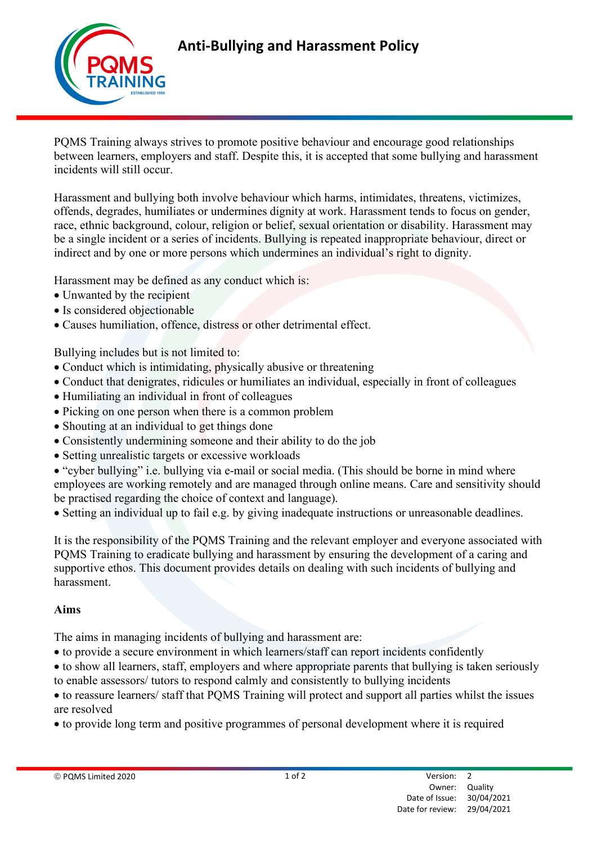

PQMS Training always strives to promote positive behaviour and encourage good relationships between learners, employers and staff. Despite this, it is accepted that some bullying and harassment incidents will still occur.

Harassment and bullying both involve behaviour which harms, intimidates, threatens, victimizes, offends, degrades, humiliates or undermines dignity at work. Harassment tends to focus on gender, race, ethnic background, colour, religion or belief, sexual orientation or disability. Harassment may be a single incident or a series of incidents. Bullying is repeated inappropriate behaviour, direct or indirect and by one or more persons which undermines an individual's right to dignity.

Harassment may be defined as any conduct which is:

- Unwanted by the recipient
- Is considered objectionable
- Causes humiliation, offence, distress or other detrimental effect.

Bullying includes but is not limited to:

- Conduct which is intimidating, physically abusive or threatening
- Conduct that denigrates, ridicules or humiliates an individual, especially in front of colleagues
- Humiliating an individual in front of colleagues
- Picking on one person when there is a common problem
- Shouting at an individual to get things done
- Consistently undermining someone and their ability to do the job
- Setting unrealistic targets or excessive workloads
- "cyber bullying" i.e. bullying via e-mail or social media. (This should be borne in mind where employees are working remotely and are managed through online means. Care and sensitivity should be practised regarding the choice of context and language).
- Setting an individual up to fail e.g. by giving inadequate instructions or unreasonable deadlines.

It is the responsibility of the PQMS Training and the relevant employer and everyone associated with PQMS Training to eradicate bullying and harassment by ensuring the development of a caring and supportive ethos. This document provides details on dealing with such incidents of bullying and harassment.

## Aims

The aims in managing incidents of bullying and harassment are:

- to provide a secure environment in which learners/staff can report incidents confidently
- to show all learners, staff, employers and where appropriate parents that bullying is taken seriously to enable assessors/ tutors to respond calmly and consistently to bullying incidents
- to reassure learners/ staff that PQMS Training will protect and support all parties whilst the issues are resolved
- to provide long term and positive programmes of personal development where it is required